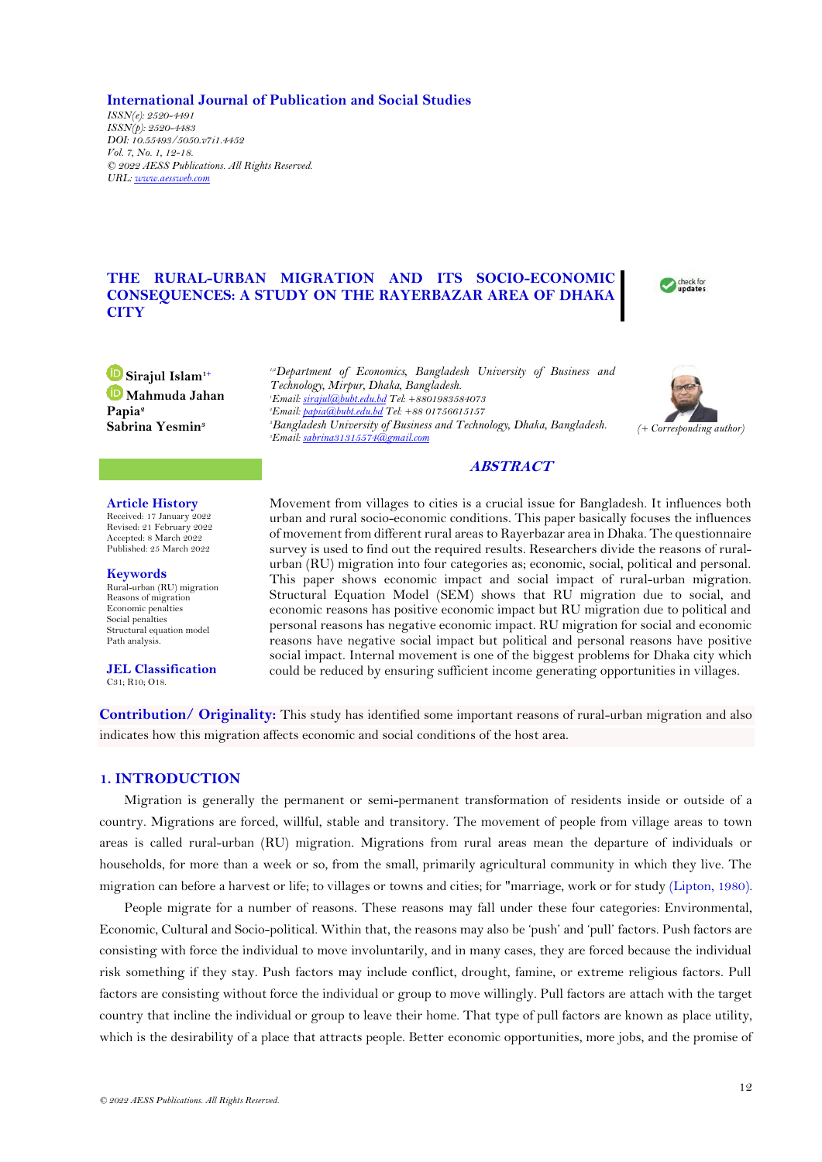**International Journal of Publication and Social Studies**

*ISSN(e): 2520-4491 ISSN(p): 2520-4483 DOI: 10.55493/5050.v7i1.4452 Vol. 7, No. 1, 12-18. © 2022 AESS Publications. All Rights Reserved. URL[: www.aessweb.com](http://www.aessweb.com/)*

# **THE RURAL-URBAN MIGRATION AND ITS SOCIO-ECONOMIC CONSEQUENCES: A STUDY ON THE RAYERBAZAR AREA OF DHAKA CITY**



**Sirajul Islam1+ Mahmuda Jahan Papia<sup>2</sup> Sabrina Yesmin<sup>3</sup>**

*1,2Department of Economics, Bangladesh University of Business and Technology, Mirpur, Dhaka, Bangladesh. Email[: sirajul@bubt.edu.bd](mailto:sirajul@bubt.edu.bd) Tel: +8801983584073 Email[: papia@bubt.edu.bd](mailto:papia@bubt.edu.bd) Tel: +88 01756615157 Bangladesh University of Business and Technology, Dhaka, Bangladesh. Email[: sabrina31315574@gmail.com](mailto:sabrina31315574@gmail.com)*



# **ABSTRACT**

Movement from villages to cities is a crucial issue for Bangladesh. It influences both

**Article History** Received: 17 January 2022 Revised: 21 February 2022 Accepted: 8 March 2022 Published: 25 March 2022

**Keywords** Rural-urban (RU) migration Reasons of migration Economic penalties Social penalties Structural equation model Path analysis.

**JEL Classification** C31; R10; O18.

urban and rural socio-economic conditions. This paper basically focuses the influences of movement from different rural areas to Rayerbazar area in Dhaka. The questionnaire survey is used to find out the required results. Researchers divide the reasons of ruralurban (RU) migration into four categories as; economic, social, political and personal. This paper shows economic impact and social impact of rural-urban migration. Structural Equation Model (SEM) shows that RU migration due to social, and economic reasons has positive economic impact but RU migration due to political and personal reasons has negative economic impact. RU migration for social and economic reasons have negative social impact but political and personal reasons have positive social impact. Internal movement is one of the biggest problems for Dhaka city which could be reduced by ensuring sufficient income generating opportunities in villages.

**Contribution/ Originality:** This study has identified some important reasons of rural-urban migration and also indicates how this migration affects economic and social conditions of the host area.

# **1. INTRODUCTION**

Migration is generally the permanent or semi-permanent transformation of residents inside or outside of a country. Migrations are forced, willful, stable and transitory. The movement of people from village areas to town areas is called rural-urban (RU) migration. Migrations from rural areas mean the departure of individuals or households, for more than a week or so, from the small, primarily agricultural community in which they live. The migration can before a harvest or life; to villages or towns and cities; for "marriage, work or for study [\(Lipton, 1980\)](#page-6-0).

People migrate for a number of reasons. These reasons may fall under these four categories: Environmental, Economic, Cultural and Socio-political. Within that, the reasons may also be 'push' and 'pull' factors. Push factors are consisting with force the individual to move involuntarily, and in many cases, they are forced because the individual risk something if they stay. Push factors may include conflict, drought, famine, or extreme religious factors. Pull factors are consisting without force the individual or group to move willingly. Pull factors are attach with the target country that incline the individual or group to leave their home. That type of pull factors are known as place utility, which is the desirability of a place that attracts people. Better economic opportunities, more jobs, and the promise of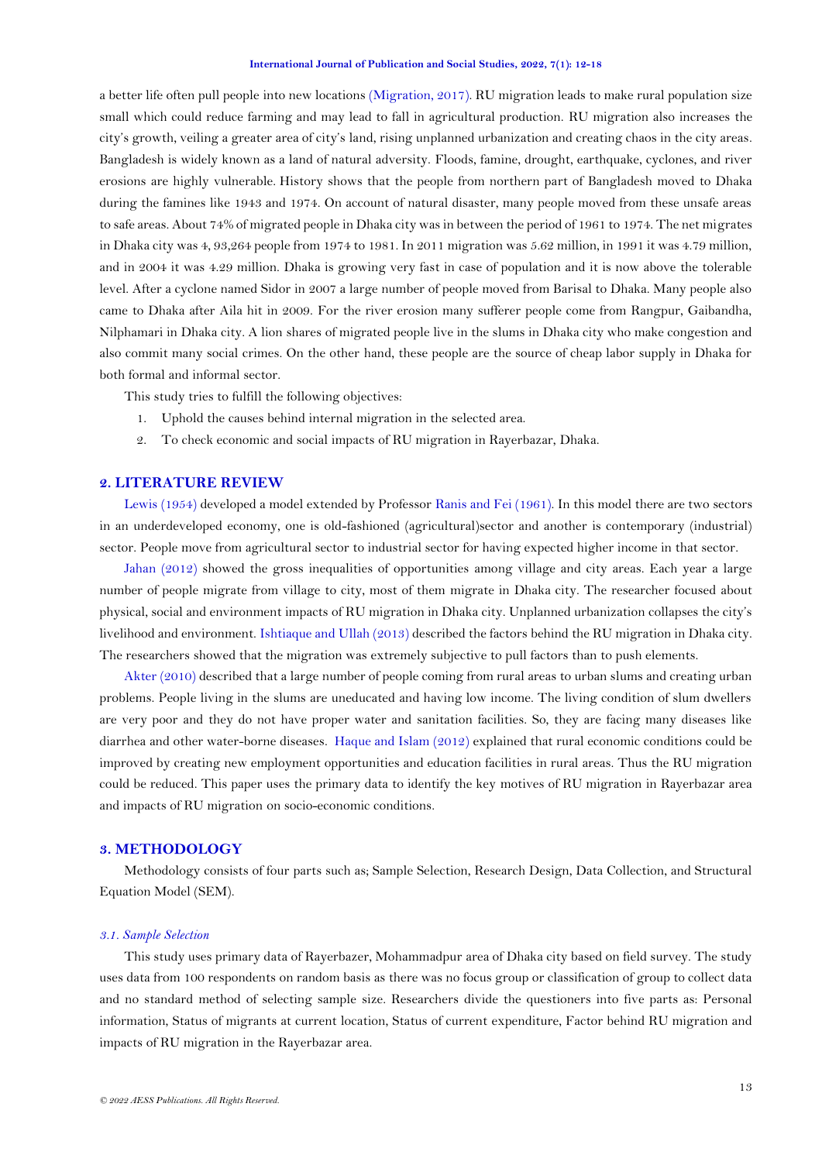a better life often pull people into new locations [\(Migration, 2017\)](#page-6-1). RU migration leads to make rural population size small which could reduce farming and may lead to fall in agricultural production. RU migration also increases the city's growth, veiling a greater area of city's land, rising unplanned urbanization and creating chaos in the city areas. Bangladesh is widely known as a land of natural adversity. Floods, famine, drought, earthquake, cyclones, and river erosions are highly vulnerable. History shows that the people from northern part of Bangladesh moved to Dhaka during the famines like 1943 and 1974. On account of natural disaster, many people moved from these unsafe areas to safe areas. About 74% of migrated people in Dhaka city was in between the period of 1961 to 1974. The net migrates in Dhaka city was 4, 93,264 people from 1974 to 1981. In 2011 migration was 5.62 million, in 1991 it was 4.79 million, and in 2004 it was 4.29 million. Dhaka is growing very fast in case of population and it is now above the tolerable level. After a cyclone named Sidor in 2007 a large number of people moved from Barisal to Dhaka. Many people also came to Dhaka after Aila hit in 2009. For the river erosion many sufferer people come from Rangpur, Gaibandha, Nilphamari in Dhaka city. A lion shares of migrated people live in the slums in Dhaka city who make congestion and also commit many social crimes. On the other hand, these people are the source of cheap labor supply in Dhaka for both formal and informal sector.

This study tries to fulfill the following objectives:

- 1. Uphold the causes behind internal migration in the selected area.
- 2. To check economic and social impacts of RU migration in Rayerbazar, Dhaka.

# **2. LITERATURE REVIEW**

[Lewis \(1954\)](#page-6-2) developed a model extended by Professor [Ranis and Fei \(1961\)](#page-6-3). In this model there are two sectors in an underdeveloped economy, one is old-fashioned (agricultural)sector and another is contemporary (industrial) sector. People move from agricultural sector to industrial sector for having expected higher income in that sector.

[Jahan \(2012\)](#page-6-4) showed the gross inequalities of opportunities among village and city areas. Each year a large number of people migrate from village to city, most of them migrate in Dhaka city. The researcher focused about physical, social and environment impacts of RU migration in Dhaka city. Unplanned urbanization collapses the city's livelihood and environment. [Ishtiaque and Ullah \(2013\)](#page-6-5) described the factors behind the RU migration in Dhaka city. The researchers showed that the migration was extremely subjective to pull factors than to push elements.

[Akter \(2010\)](#page-6-6) described that a large number of people coming from rural areas to urban slums and creating urban problems. People living in the slums are uneducated and having low income. The living condition of slum dwellers are very poor and they do not have proper water and sanitation facilities. So, they are facing many diseases like diarrhea and other water-borne diseases. [Haque and Islam \(2012\)](#page-6-7) explained that rural economic conditions could be improved by creating new employment opportunities and education facilities in rural areas. Thus the RU migration could be reduced. This paper uses the primary data to identify the key motives of RU migration in Rayerbazar area and impacts of RU migration on socio-economic conditions.

### **3. METHODOLOGY**

Methodology consists of four parts such as; Sample Selection, Research Design, Data Collection, and Structural Equation Model (SEM).

## *3.1. Sample Selection*

This study uses primary data of Rayerbazer, Mohammadpur area of Dhaka city based on field survey. The study uses data from 100 respondents on random basis as there was no focus group or classification of group to collect data and no standard method of selecting sample size. Researchers divide the questioners into five parts as: Personal information, Status of migrants at current location, Status of current expenditure, Factor behind RU migration and impacts of RU migration in the Rayerbazar area.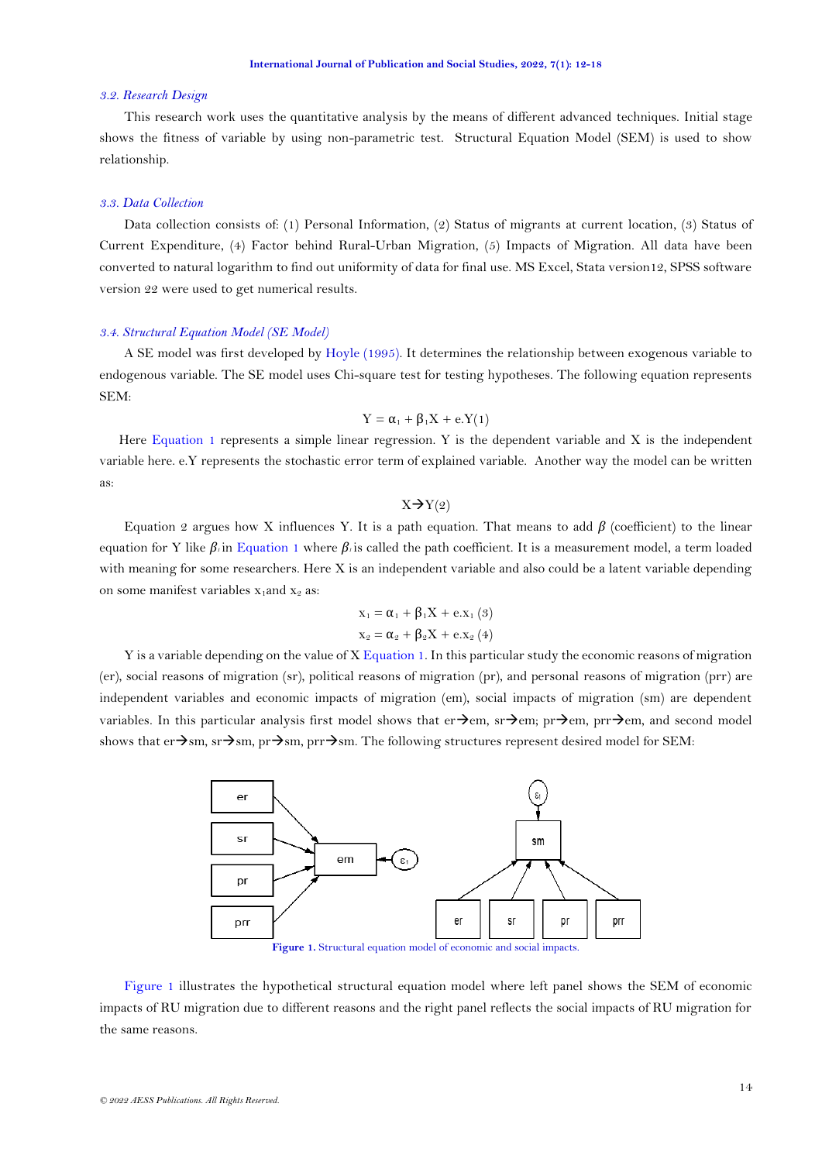#### *3.2. Research Design*

This research work uses the quantitative analysis by the means of different advanced techniques. Initial stage shows the fitness of variable by using non-parametric test. Structural Equation Model (SEM) is used to show relationship.

## *3.3. Data Collection*

Data collection consists of: (1) Personal Information, (2) Status of migrants at current location, (3) Status of Current Expenditure, (4) Factor behind Rural-Urban Migration, (5) Impacts of Migration. All data have been converted to natural logarithm to find out uniformity of data for final use. MS Excel, Stata version12, SPSS software version 22 were used to get numerical results.

#### *3.4. Structural Equation Model (SE Model)*

A SE model was first developed by [Hoyle \(1995\)](#page-6-8). It determines the relationship between exogenous variable to endogenous variable. The SE model uses Chi-square test for testing hypotheses. The following equation represents SEM:

<span id="page-2-0"></span>
$$
Y = \alpha_1 + \beta_1 X + e.Y(1)
$$

Here [Equation 1](#page-2-0) represents a simple linear regression. Y is the dependent variable and X is the independent variable here. e.Y represents the stochastic error term of explained variable. Another way the model can be written as:

 $X \rightarrow Y(2)$ 

Equation 2 argues how X influences Y. It is a path equation. That means to add *β* (coefficient) to the linear equation for Y like  $β$ *i*n [Equation 1](#page-2-0) where  $β$ *i*s called the path coefficient. It is a measurement model, a term loaded with meaning for some researchers. Here X is an independent variable and also could be a latent variable depending on some manifest variables  $x_1$ and  $x_2$  as:

$$
x_1 = \alpha_1 + \beta_1 X + e.x_1 (3)
$$
  

$$
x_2 = \alpha_2 + \beta_2 X + e.x_2 (4)
$$

Y is a variable depending on the value of X [Equation 1.](#page-2-0) In this particular study the economic reasons of migration (er), social reasons of migration (sr), political reasons of migration (pr), and personal reasons of migration (prr) are independent variables and economic impacts of migration (em), social impacts of migration (sm) are dependent variables. In this particular analysis first model shows that er→em, sr→em, pr→em, prr→em, and second model shows that er $\rightarrow$ sm, sr $\rightarrow$ sm, pr $\rightarrow$ sm, pr $\rightarrow$ sm. The following structures represent desired model for SEM:



Figure 1. Structural equation model of economic and social impacts.

<span id="page-2-1"></span>[Figure 1](#page-2-1) illustrates the hypothetical structural equation model where left panel shows the SEM of economic impacts of RU migration due to different reasons and the right panel reflects the social impacts of RU migration for the same reasons.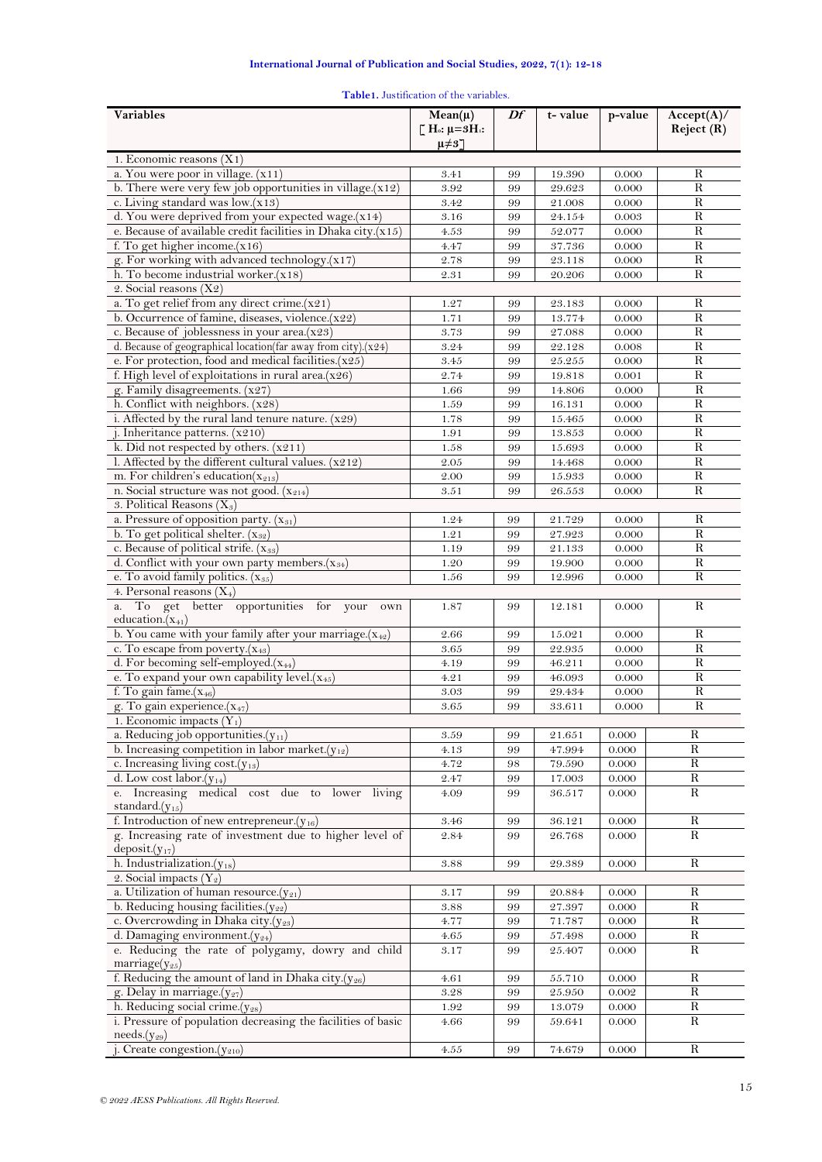# **International Journal of Publication and Social Studies, 2022, 7(1): 12-18**

<span id="page-3-0"></span>

| Variables                                                                        | $Mean(\mu)$                                                           | Df       | t-value          | p-value        | Accept(A)/     |
|----------------------------------------------------------------------------------|-----------------------------------------------------------------------|----------|------------------|----------------|----------------|
|                                                                                  | $\Gamma$ H <sub>o</sub> : $\mu = 3H$ <sub>1</sub> :<br>$\mu \neq 3$ ] |          |                  |                | Reject (R)     |
| 1. Economic reasons $(X1)$                                                       |                                                                       |          |                  |                |                |
| a. You were poor in village. (x11)                                               | 3.41                                                                  | 99       | 19.390           | 0.000          | R              |
| b. There were very few job opportunities in village.(x12)                        | 3.92                                                                  | 99       | 29.623           | 0.000          | $\overline{R}$ |
| c. Living standard was low.(x13)                                                 | 3.42                                                                  | 99       | 21.008           | 0.000          | $\mathbb{R}$   |
| d. You were deprived from your expected wage.(x14)                               | 3.16                                                                  | 99       | 24.154           | 0.003          | $\mathbb{R}$   |
| e. Because of available credit facilities in Dhaka city. $(x15)$                 | 4.53                                                                  | 99       | 52.077           | 0.000          | $\mathbf R$    |
| f. To get higher income. $(x16)$                                                 | 4.47                                                                  | 99       | 37.736           | 0.000          | $\overline{R}$ |
| g. For working with advanced technology.(x17)                                    | 2.78                                                                  | 99       | 23.118           | 0.000          | $\mathbf R$    |
| h. To become industrial worker. $(x18)$                                          | 2.31                                                                  | 99       | 20.206           | 0.000          | R              |
| 2. Social reasons $(X2)$<br>a. To get relief from any direct crime. $(x21)$      |                                                                       |          |                  |                | R              |
| b. Occurrence of famine, diseases, violence.(x22)                                | 1.27<br>1.71                                                          | 99<br>99 | 23.183<br>13.774 | 0.000<br>0.000 | $\mathbf R$    |
| c. Because of joblessness in your area.(x23)                                     | 3.73                                                                  | 99       | 27.088           | 0.000          | R              |
| d. Because of geographical location(far away from city).(x24)                    | 3.24                                                                  | 99       | 22.128           | 0.008          | ${\bf R}$      |
| e. For protection, food and medical facilities $(x25)$                           | 3.45                                                                  | 99       | 25.255           | 0.000          | $\mathbb{R}$   |
| f. High level of exploitations in rural area. $(x26)$                            | 2.74                                                                  | 99       | 19.818           | 0.001          | $\mathbf R$    |
| g. Family disagreements. $(x27)$                                                 | 1.66                                                                  | 99       | 14.806           | 0.000          | R              |
| h. Conflict with neighbors. (x28)                                                | 1.59                                                                  | 99       | 16.131           | 0.000          | ${\bf R}$      |
| i. Affected by the rural land tenure nature. $(x29)$                             | 1.78                                                                  | 99       | 15.465           | 0.000          | $\mathbb{R}$   |
| j. Inheritance patterns. (x210)                                                  | 1.91                                                                  | 99       | 13.853           | 0.000          | $\mathbf R$    |
| k. Did not respected by others. $(x211)$                                         | 1.58                                                                  | 99       | 15.693           | 0.000          | $\mathbf R$    |
| l. Affected by the different cultural values. (x212)                             | 2.05                                                                  | 99       | 14.468           | 0.000          | ${\bf R}$      |
| m. For children's education( $x_{213}$ )                                         | 2.00                                                                  | 99       | 15.933           | 0.000          | $\mathbf R$    |
| n. Social structure was not good. $(x_{214})$                                    | 3.51                                                                  | 99       | 26.553           | 0.000          | R              |
| 3. Political Reasons $(X_3)$                                                     |                                                                       |          |                  |                |                |
| a. Pressure of opposition party. $(x_{31})$                                      | 1.24                                                                  | 99       | 21.729           | 0.000          | R              |
| b. To get political shelter. $(x_{32})$                                          | 1.21                                                                  | 99       | 27.923           | 0.000          | $\mathbf R$    |
| c. Because of political strife. $(x_{33})$                                       | 1.19                                                                  | 99       | 21.133           | 0.000          | R              |
| d. Conflict with your own party members $(x_{34})$                               | 1.20                                                                  | 99       | 19.900           | 0.000          | $\mathbf R$    |
| e. To avoid family politics. (x35)                                               | 1.56                                                                  | 99       | 12.996           | 0.000          | $\mathbf R$    |
| 4. Personal reasons $(X_4)$                                                      |                                                                       |          |                  |                |                |
| To get better opportunities for your<br>a.<br>own<br>education. $(x_{41})$       | 1.87                                                                  | 99       | 12.181           | 0.000          | R              |
| b. You came with your family after your marriage. $(x_{42})$                     | 2.66                                                                  | 99       | 15.021           | 0.000          | $\mathbf R$    |
| c. To escape from poverty. $(x_{43})$                                            | 3.65                                                                  | 99       | 22.935           | 0.000          | R              |
| d. For becoming self-employed. $(x_{44})$                                        | 4.19                                                                  | 99       | 46.211           | 0.000          | R              |
| e. To expand your own capability level. $(x_{45})$                               | 4.21                                                                  | 99       | 46.093           | 0.000          | $\mathbf R$    |
| f. To gain fame. $(x_{46})$                                                      | 3.03                                                                  | 99       | 29.434           | 0.000          | $\mathbf R$    |
| g. To gain experience $(x_{47})$                                                 | 3.65                                                                  | 99       | 33.611           | 0.000          | $\mathbf R$    |
| 1. Economic impacts $(Y_1)$                                                      |                                                                       |          |                  |                |                |
| a. Reducing job opportunities. $(y_{11})$                                        | 3.59                                                                  | 99       | 21.651           | 0.000          | $\mathbf R$    |
| b. Increasing competition in labor market. $(y_{12})$                            | 4.13                                                                  | 99       | 47.994           | 0.000          | $\mathbf R$    |
| c. Increasing living cost. $(y_{13})$                                            | 4.72                                                                  | 98       | 79.590           | 0.000          | $\mathbf R$    |
| d. Low cost labor. $(y_{14})$                                                    | $2.47\,$                                                              | 99       | 17.003           | 0.000          | $\mathbf R$    |
| e. Increasing medical cost due to lower living<br>standard. $(y_{15})$           | 4.09                                                                  | 99       | $36.517\,$       | 0.000          | R              |
| f. Introduction of new entrepreneur. $(y_{16})$                                  | 3.46                                                                  | 99       | 36.121           | 0.000          | R              |
| g. Increasing rate of investment due to higher level of<br>$deposit(y_{17})$     | 2.84                                                                  | 99       | 26.768           | 0.000          | R              |
| h. Industrialization $(y_{18})$                                                  | $3.88\,$                                                              | 99       | 29.389           | 0.000          | $\mathbf R$    |
| 2. Social impacts $(Y_2)$                                                        |                                                                       |          |                  |                |                |
| a. Utilization of human resource. $(y_{21})$                                     | 3.17                                                                  | 99       | 20.884           | 0.000          | $\mathbf R$    |
| b. Reducing housing facilities. $(y_{22})$                                       | 3.88                                                                  | 99       | 27.397           | 0.000          | $\mathbf R$    |
| c. Overcrowding in Dhaka city.(y23)                                              | 4.77                                                                  | 99       | 71.787           | 0.000          | R              |
| d. Damaging environment. $(y_{24})$                                              | 4.65                                                                  | 99       | $57.498\,$       | 0.000          | $\mathbf R$    |
| e. Reducing the rate of polygamy, dowry and child<br>marriage $(y_{25})$         | $3.17\,$                                                              | 99       | 25.407           | 0.000          | $\mathbf R$    |
| f. Reducing the amount of land in Dhaka city.( $y_{26}$ )                        | 4.61                                                                  | 99       | 55.710           | 0.000          | R              |
| g. Delay in marriage (y27)                                                       | $3.28\,$                                                              | 99       | $25.950\,$       | 0.002          | R              |
| h. Reducing social crime.(y28)                                                   | 1.92                                                                  | 99       | 13.079           | 0.000          | $\mathbf R$    |
| i. Pressure of population decreasing the facilities of basic<br>$needs.(y_{29})$ | 4.66                                                                  | 99       | 59.641           | 0.000          | $\mathbf R$    |

j. Create congestion.( $y_{210}$ ) 4.55 99 74.679 0.000 R

### **Table1.** Justification of the variables.

 $\overline{a}$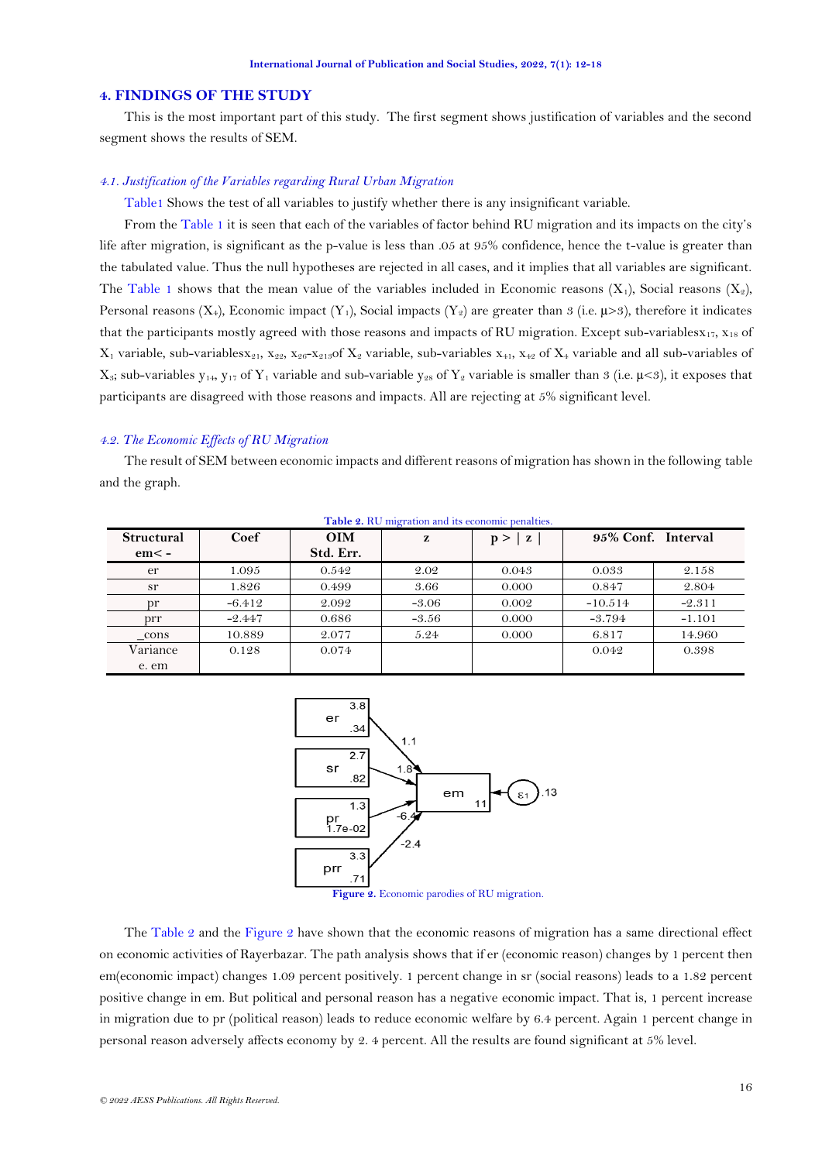### **4. FINDINGS OF THE STUDY**

This is the most important part of this study. The first segment shows justification of variables and the second segment shows the results of SEM.

### *4.1. Justification of the Variables regarding Rural Urban Migration*

[Table1](#page-3-0) Shows the test of all variables to justify whether there is any insignificant variable.

From the [Table 1](#page-3-0) it is seen that each of the variables of factor behind RU migration and its impacts on the city's life after migration, is significant as the p-value is less than .05 at 95% confidence, hence the t-value is greater than the tabulated value. Thus the null hypotheses are rejected in all cases, and it implies that all variables are significant. The [Table 1](#page-3-0) shows that the mean value of the variables included in Economic reasons  $(X_1)$ , Social reasons  $(X_2)$ , Personal reasons  $(X_4)$ , Economic impact  $(Y_1)$ , Social impacts  $(Y_2)$  are greater than 3 (i.e.  $\mu > 3$ ), therefore it indicates that the participants mostly agreed with those reasons and impacts of RU migration. Except sub-variables $x_{17}$ ,  $x_{18}$  of  $X_1$  variable, sub-variables $x_{21}$ ,  $x_{22}$ ,  $x_{26}$ - $x_{213}$ of  $X_2$  variable, sub-variables  $x_{41}$ ,  $x_{42}$  of  $X_4$  variable and all sub-variables of  $X_3$ ; sub-variables  $y_{14}$ ,  $y_{17}$  of  $Y_1$  variable and sub-variable  $y_{28}$  of  $Y_2$  variable is smaller than 3 (i.e.  $\mu$ <3), it exposes that participants are disagreed with those reasons and impacts. All are rejecting at 5% significant level.

## *4.2. The Economic Effects of RU Migration*

The result of SEM between economic impacts and different reasons of migration has shown in the following table and the graph.

<span id="page-4-1"></span>

| <b>Structural</b> | Coef     | <b>OIM</b> | z       | p ><br>${\bf z}$ | 95% Conf. Interval |          |
|-------------------|----------|------------|---------|------------------|--------------------|----------|
| $em<$ -           |          | Std. Err.  |         |                  |                    |          |
| er                | 1.095    | 0.542      | 2.02    | 0.043            | 0.033              | 2.158    |
| sr                | 1.826    | 0.499      | 3.66    | 0.000            | 0.847              | 2.804    |
| <sub>pr</sub>     | $-6.412$ | 2.092      | $-3.06$ | 0.002            | $-10.514$          | $-2.311$ |
| prr               | $-2.447$ | 0.686      | $-3.56$ | 0.000            | $-3.794$           | $-1.101$ |
| cons              | 10.889   | 2.077      | 5.24    | 0.000            | 6.817              | 14.960   |
| Variance          | 0.128    | 0.074      |         |                  | 0.042              | 0.398    |
| e. em             |          |            |         |                  |                    |          |

**Table 2.** RU migration and its economic penalties.



**Figure 2.** Economic parodies of RU migration.

<span id="page-4-0"></span>The [Table](#page-4-0) 2 and the [Figure](#page-4-1) 2 have shown that the economic reasons of migration has a same directional effect on economic activities of Rayerbazar. The path analysis shows that if er (economic reason) changes by 1 percent then em(economic impact) changes 1.09 percent positively. 1 percent change in sr (social reasons) leads to a 1.82 percent positive change in em. But political and personal reason has a negative economic impact. That is, 1 percent increase in migration due to pr (political reason) leads to reduce economic welfare by 6.4 percent. Again 1 percent change in personal reason adversely affects economy by 2. 4 percent. All the results are found significant at 5% level.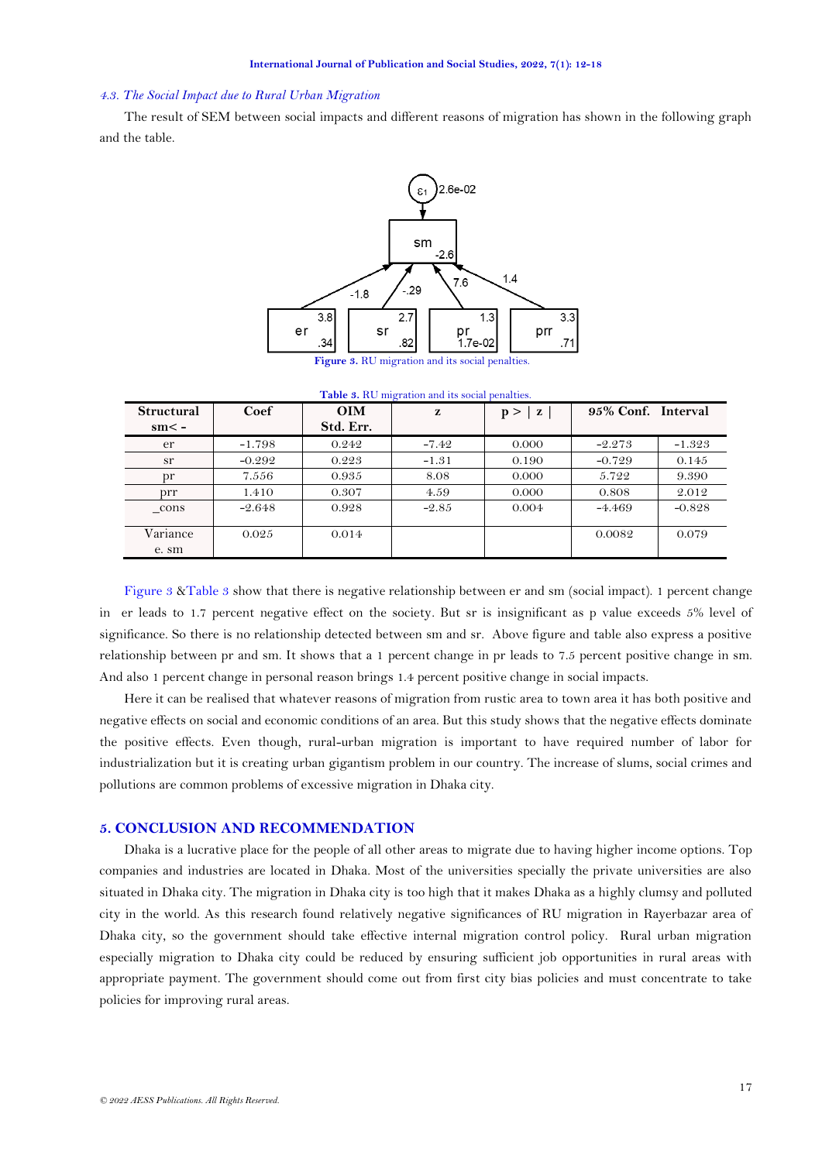#### *4.3. The Social Impact due to Rural Urban Migration*

The result of SEM between social impacts and different reasons of migration has shown in the following graph and the table.



**Figure 3.** RU migration and its social penalties.

<span id="page-5-0"></span>

| <b>Table 3.</b> It is migration and its social penalties. |          |            |         |                     |                    |          |
|-----------------------------------------------------------|----------|------------|---------|---------------------|--------------------|----------|
| <b>Structural</b>                                         | Coef     | <b>OIM</b> | z       | $\mathbf{z}$<br>p > | 95% Conf. Interval |          |
| $sm < -$                                                  |          | Std. Err.  |         |                     |                    |          |
| er                                                        | $-1.798$ | 0.242      | $-7.42$ | 0.000               | $-2.273$           | $-1.323$ |
| sr                                                        | $-0.292$ | 0.223      | $-1.31$ | 0.190               | $-0.729$           | 0.145    |
| pr                                                        | 7.556    | 0.935      | 8.08    | 0.000               | 5.722              | 9.390    |
| prr                                                       | 1.410    | 0.307      | 4.59    | 0.000               | 0.808              | 2.012    |
| cons                                                      | $-2.648$ | 0.928      | $-2.85$ | 0.004               | $-4.469$           | $-0.828$ |
| Variance                                                  | 0.025    | 0.014      |         |                     | 0.0082             | 0.079    |
| e. sm                                                     |          |            |         |                     |                    |          |

**Table 3.** RU migration and its social penalties.

<span id="page-5-1"></span>[Figure 3](#page-5-0) [&Table 3](#page-5-1) show that there is negative relationship between er and sm (social impact). 1 percent change in er leads to 1.7 percent negative effect on the society. But sr is insignificant as p value exceeds 5% level of significance. So there is no relationship detected between sm and sr. Above figure and table also express a positive relationship between pr and sm. It shows that a 1 percent change in pr leads to 7.5 percent positive change in sm. And also 1 percent change in personal reason brings 1.4 percent positive change in social impacts.

Here it can be realised that whatever reasons of migration from rustic area to town area it has both positive and negative effects on social and economic conditions of an area. But this study shows that the negative effects dominate the positive effects. Even though, rural-urban migration is important to have required number of labor for industrialization but it is creating urban gigantism problem in our country. The increase of slums, social crimes and pollutions are common problems of excessive migration in Dhaka city.

## **5. CONCLUSION AND RECOMMENDATION**

Dhaka is a lucrative place for the people of all other areas to migrate due to having higher income options. Top companies and industries are located in Dhaka. Most of the universities specially the private universities are also situated in Dhaka city. The migration in Dhaka city is too high that it makes Dhaka as a highly clumsy and polluted city in the world. As this research found relatively negative significances of RU migration in Rayerbazar area of Dhaka city, so the government should take effective internal migration control policy. Rural urban migration especially migration to Dhaka city could be reduced by ensuring sufficient job opportunities in rural areas with appropriate payment. The government should come out from first city bias policies and must concentrate to take policies for improving rural areas.